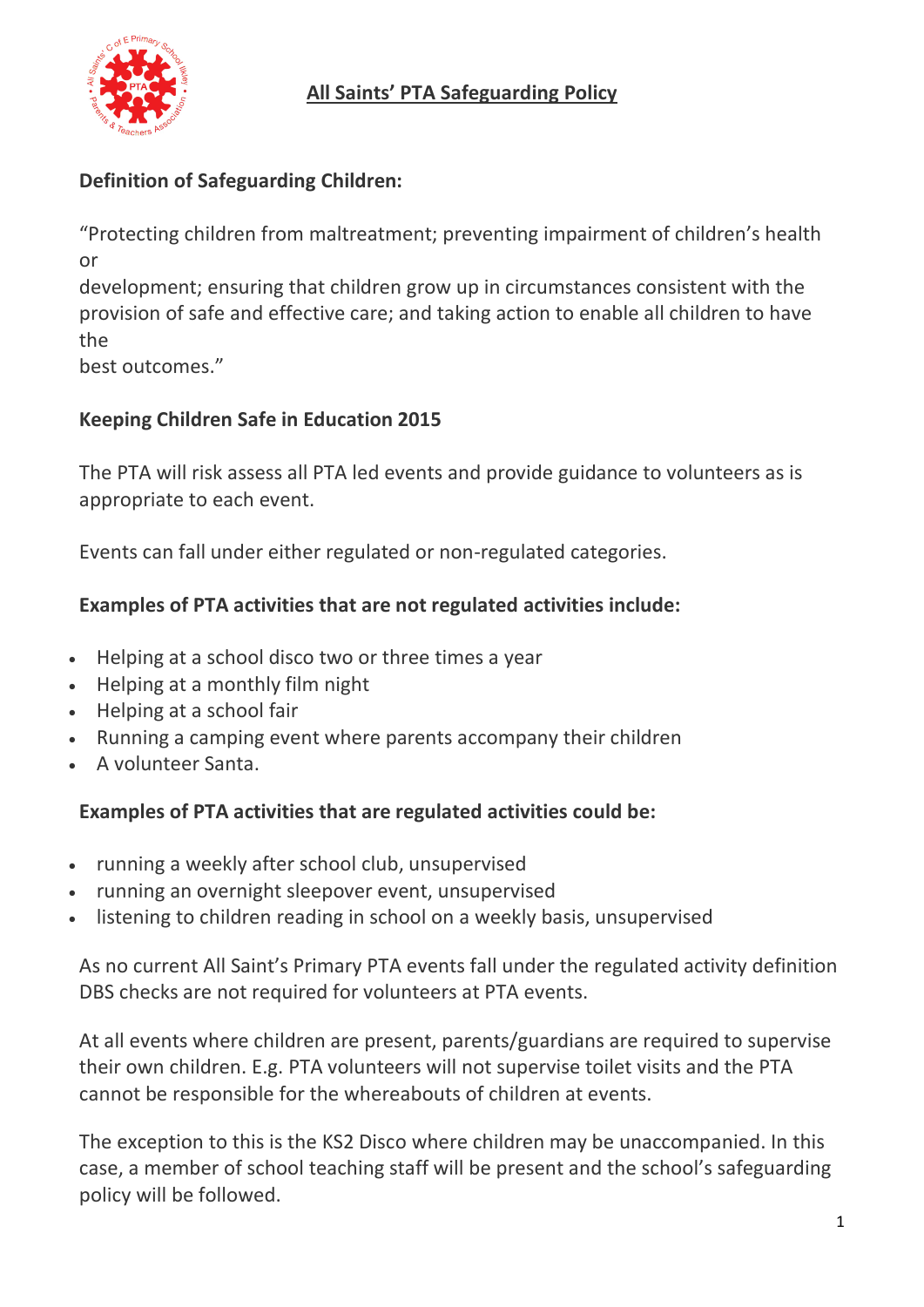

## **Definition of Safeguarding Children:**

"Protecting children from maltreatment; preventing impairment of children's health or

development; ensuring that children grow up in circumstances consistent with the provision of safe and effective care; and taking action to enable all children to have the

best outcomes."

## **Keeping Children Safe in Education 2015**

The PTA will risk assess all PTA led events and provide guidance to volunteers as is appropriate to each event.

Events can fall under either regulated or non-regulated categories.

## **Examples of PTA activities that are not regulated activities include:**

- Helping at a school disco two or three times a year
- Helping at a monthly film night
- Helping at a school fair
- Running a camping event where parents accompany their children
- A volunteer Santa.

## **Examples of PTA activities that are regulated activities could be:**

- running a weekly after school club, unsupervised
- running an overnight sleepover event, unsupervised
- listening to children reading in school on a weekly basis, unsupervised

As no current All Saint's Primary PTA events fall under the regulated activity definition DBS checks are not required for volunteers at PTA events.

At all events where children are present, parents/guardians are required to supervise their own children. E.g. PTA volunteers will not supervise toilet visits and the PTA cannot be responsible for the whereabouts of children at events.

The exception to this is the KS2 Disco where children may be unaccompanied. In this case, a member of school teaching staff will be present and the school's safeguarding policy will be followed.